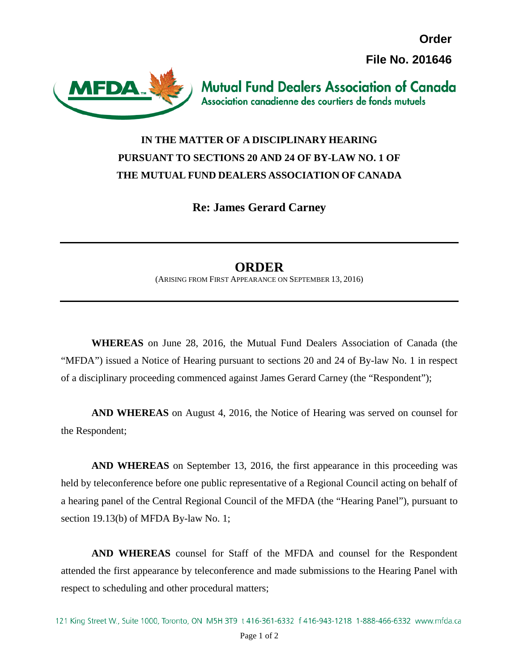**Order File No. 201646**



**Mutual Fund Dealers Association of Canada** Association canadienne des courtiers de fonds mutuels

## **IN THE MATTER OF A DISCIPLINARY HEARING PURSUANT TO SECTIONS 20 AND 24 OF BY-LAW NO. 1 OF THE MUTUAL FUND DEALERS ASSOCIATION OF CANADA**

**Re: James Gerard Carney**

## **ORDER**

(ARISING FROM FIRST APPEARANCE ON SEPTEMBER 13, 2016)

**WHEREAS** on June 28, 2016, the Mutual Fund Dealers Association of Canada (the "MFDA") issued a Notice of Hearing pursuant to sections 20 and 24 of By-law No. 1 in respect of a disciplinary proceeding commenced against James Gerard Carney (the "Respondent");

**AND WHEREAS** on August 4, 2016, the Notice of Hearing was served on counsel for the Respondent;

**AND WHEREAS** on September 13, 2016, the first appearance in this proceeding was held by teleconference before one public representative of a Regional Council acting on behalf of a hearing panel of the Central Regional Council of the MFDA (the "Hearing Panel"), pursuant to section 19.13(b) of MFDA By-law No. 1;

**AND WHEREAS** counsel for Staff of the MFDA and counsel for the Respondent attended the first appearance by teleconference and made submissions to the Hearing Panel with respect to scheduling and other procedural matters;